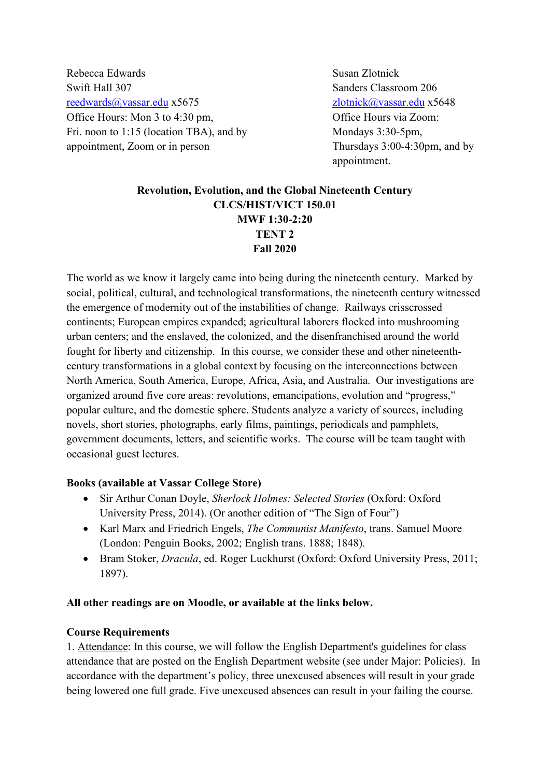Rebecca Edwards Susan Zlotnick Swift Hall 307 Sanders Classroom 206 [reedwards@vassar.edu](mailto:reedwards@vassar.edu) x5675 [zlotnick@vassar.edu](mailto:zlotnick@vassar.edu) x5648 Office Hours: Mon 3 to 4:30 pm,  $\bullet$  Office Hours via Zoom: Fri. noon to 1:15 (location TBA), and by Mondays 3:30-5pm, appointment, Zoom or in person Thursdays 3:00-4:30pm, and by

appointment.

# **Revolution, Evolution, and the Global Nineteenth Century CLCS/HIST/VICT 150.01 MWF 1:30-2:20 TENT 2 Fall 2020**

The world as we know it largely came into being during the nineteenth century. Marked by social, political, cultural, and technological transformations, the nineteenth century witnessed the emergence of modernity out of the instabilities of change. Railways crisscrossed continents; European empires expanded; agricultural laborers flocked into mushrooming urban centers; and the enslaved, the colonized, and the disenfranchised around the world fought for liberty and citizenship. In this course, we consider these and other nineteenthcentury transformations in a global context by focusing on the interconnections between North America, South America, Europe, Africa, Asia, and Australia. Our investigations are organized around five core areas: revolutions, emancipations, evolution and "progress," popular culture, and the domestic sphere. Students analyze a variety of sources, including novels, short stories, photographs, early films, paintings, periodicals and pamphlets, government documents, letters, and scientific works. The course will be team taught with occasional guest lectures.

#### **Books (available at Vassar College Store)**

- Sir Arthur Conan Doyle, *Sherlock Holmes: Selected Stories* (Oxford: Oxford University Press, 2014). (Or another edition of "The Sign of Four")
- Karl Marx and Friedrich Engels, *The Communist Manifesto*, trans. Samuel Moore (London: Penguin Books, 2002; English trans. 1888; 1848).
- Bram Stoker, *Dracula*, ed. Roger Luckhurst (Oxford: Oxford University Press, 2011; 1897).

#### **All other readings are on Moodle, or available at the links below.**

#### **Course Requirements**

1. Attendance: In this course, we will follow the English Department's guidelines for class attendance that are posted on the English Department website (see under Major: Policies). In accordance with the department's policy, three unexcused absences will result in your grade being lowered one full grade. Five unexcused absences can result in your failing the course.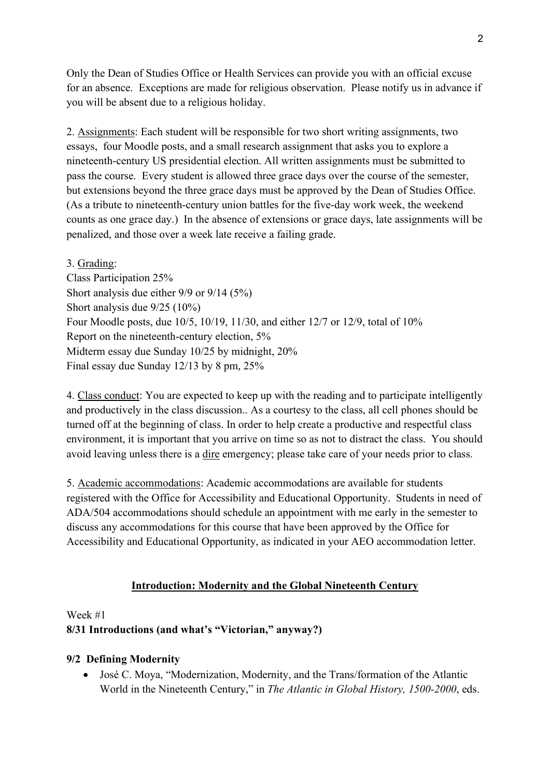Only the Dean of Studies Office or Health Services can provide you with an official excuse for an absence. Exceptions are made for religious observation. Please notify us in advance if you will be absent due to a religious holiday.

2. Assignments: Each student will be responsible for two short writing assignments, two essays, four Moodle posts, and a small research assignment that asks you to explore a nineteenth-century US presidential election. All written assignments must be submitted to pass the course. Every student is allowed three grace days over the course of the semester, but extensions beyond the three grace days must be approved by the Dean of Studies Office. (As a tribute to nineteenth-century union battles for the five-day work week, the weekend counts as one grace day.) In the absence of extensions or grace days, late assignments will be penalized, and those over a week late receive a failing grade.

3. Grading:

Class Participation 25% Short analysis due either 9/9 or 9/14 (5%) Short analysis due 9/25 (10%) Four Moodle posts, due 10/5, 10/19, 11/30, and either 12/7 or 12/9, total of 10% Report on the nineteenth-century election, 5% Midterm essay due Sunday 10/25 by midnight, 20% Final essay due Sunday 12/13 by 8 pm, 25%

4. Class conduct: You are expected to keep up with the reading and to participate intelligently and productively in the class discussion.. As a courtesy to the class, all cell phones should be turned off at the beginning of class. In order to help create a productive and respectful class environment, it is important that you arrive on time so as not to distract the class. You should avoid leaving unless there is a dire emergency; please take care of your needs prior to class.

5. Academic accommodations: Academic accommodations are available for students registered with the Office for Accessibility and Educational Opportunity. Students in need of ADA/504 accommodations should schedule an appointment with me early in the semester to discuss any accommodations for this course that have been approved by the Office for Accessibility and Educational Opportunity, as indicated in your AEO accommodation letter.

## **Introduction: Modernity and the Global Nineteenth Century**

Week #1

## **8/31 Introductions (and what's "Victorian," anyway?)**

## **9/2 Defining Modernity**

• José C. Moya, "Modernization, Modernity, and the Trans/formation of the Atlantic World in the Nineteenth Century," in *The Atlantic in Global History, 1500-2000*, eds.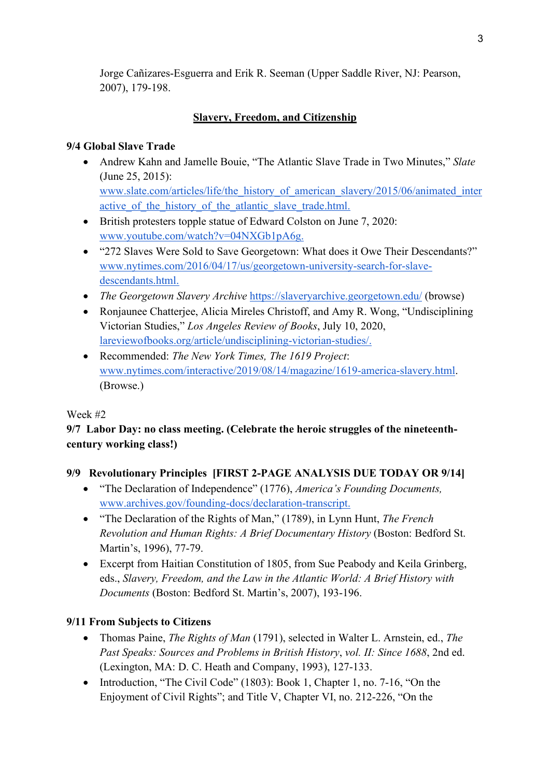Jorge Cañizares-Esguerra and Erik R. Seeman (Upper Saddle River, NJ: Pearson, 2007), 179-198.

# **Slavery, Freedom, and Citizenship**

#### **9/4 Global Slave Trade**

- Andrew Kahn and Jamelle Bouie, "The Atlantic Slave Trade in Two Minutes," *Slate*  (June 25, 2015)[:](http://www.slate.com/articles/life/the_history_of_american_slavery/2015/06/animated_interactive_of_the_history_of_the_atlantic_slave_trade.html) [www.slate.com/articles/life/the\\_history\\_of\\_american\\_slavery/2015/06/animated\\_inter](http://www.slate.com/articles/life/the_history_of_american_slavery/2015/06/animated_interactive_of_the_history_of_the_atlantic_slave_trade.html) active of the history of the atlantic slave trade.html.
- British protesters topple statue of Edward Colston on June 7, 2020: [www.youtube.com/watch?v=04NXGb1pA6g.](https://www.youtube.com/watch?v=04NXGb1pA6g)
- "272 Slaves Were Sold to Save Georgetown: What does it Owe Their Descendants?["](https://www.nytimes.com/2016/04/17/us/georgetown-university-search-for-slave-descendants.html) [www.nytimes.com/2016/04/17/us/georgetown-university-search-for-slave](https://www.nytimes.com/2016/04/17/us/georgetown-university-search-for-slave-descendants.html)[descendants.html.](https://www.nytimes.com/2016/04/17/us/georgetown-university-search-for-slave-descendants.html)
- *Th[e](https://slaveryarchive.georgetown.edu/) Georgetown Slavery Archive* <https://slaveryarchive.georgetown.edu/> (browse)
- Ronjaunee Chatterjee, Alicia Mireles Christoff, and Amy R. Wong, "Undisciplining Victorian Studies," *Los Angeles Review of Books*, July 10, 2020, [lareviewofbooks.org/article/undisciplining-victorian-studies/.](https://lareviewofbooks.org/article/undisciplining-victorian-studies/)
- Recommended: *The New York Times, The 1619 Project*: [www.nytimes.com/interactive/2019/08/14/magazine/1619-america-slavery.html.](https://www.nytimes.com/interactive/2019/08/14/magazine/1619-america-slavery.html) (Browse.)

#### Week #2

# **9/7 Labor Day: no class meeting. (Celebrate the heroic struggles of the nineteenthcentury working class!)**

## **9/9 Revolutionary Principles [FIRST 2-PAGE ANALYSIS DUE TODAY OR 9/14]**

- "The Declaration of Independence" (1776), *America's Founding Documents,* [www.archives.gov/founding-docs/declaration-transcript.](https://www.archives.gov/founding-docs/declaration-transcript)
- "The Declaration of the Rights of Man," (1789), in Lynn Hunt, *The French Revolution and Human Rights: A Brief Documentary History* (Boston: Bedford St. Martin's, 1996), 77-79.
- Excerpt from Haitian Constitution of 1805, from Sue Peabody and Keila Grinberg, eds., *Slavery, Freedom, and the Law in the Atlantic World: A Brief History with Documents* (Boston: Bedford St. Martin's, 2007), 193-196.

## **9/11 From Subjects to Citizens**

- Thomas Paine, *The Rights of Man* (1791), selected in Walter L. Arnstein, ed., *The Past Speaks: Sources and Problems in British History*, *vol. II: Since 1688*, 2nd ed. (Lexington, MA: D. C. Heath and Company, 1993), 127-133.
- Introduction, "The Civil Code" (1803): Book 1, Chapter 1, no. 7-16, "On the Enjoyment of Civil Rights"; and Title V, Chapter VI, no. 212-226, "On the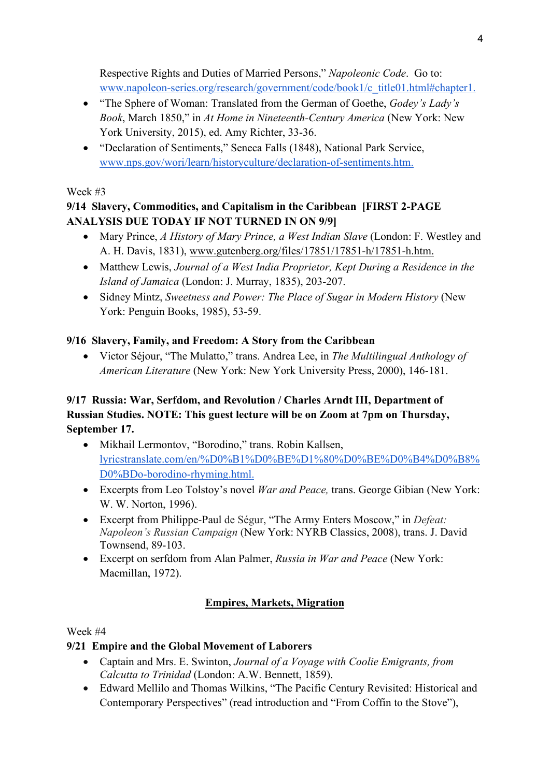Respective Rights and Duties of Married Persons," *Napoleonic Code*. Go to: [www.napoleon-series.org/research/government/code/book1/c\\_title01.html#chapter1.](https://www.napoleon-series.org/research/government/code/book1/c_title01.html#chapter1)

- "The Sphere of Woman: Translated from the German of Goethe, *Godey's Lady's Book*, March 1850," in *At Home in Nineteenth-Century America* (New York: New York University, 2015), ed. Amy Richter, 33-36.
- "Declaration of Sentiments," Seneca Falls (1848), National Park Service, [www.nps.gov/wori/learn/historyculture/declaration-of-sentiments.htm.](https://www.nps.gov/wori/learn/historyculture/declaration-of-sentiments.htm)

#### Week #3

# **9/14 Slavery, Commodities, and Capitalism in the Caribbean [FIRST 2-PAGE ANALYSIS DUE TODAY IF NOT TURNED IN ON 9/9]**

- Mary Prince, *A History of Mary Prince, a West Indian Slave* (London: F. Westley and A. H. Davis, 1831), [www.gutenberg.org/files/17851/17851-h/17851-h.htm.](https://www.gutenberg.org/files/17851/17851-h/17851-h.htm)
- Matthew Lewis, *Journal of a West India Proprietor, Kept During a Residence in the Island of Jamaica* (London: J. Murray, 1835), 203-207.
- Sidney Mintz, *Sweetness and Power: The Place of Sugar in Modern History* (New York: Penguin Books, 1985), 53-59.

## **9/16 Slavery, Family, and Freedom: A Story from the Caribbean**

• Victor Séjour, "The Mulatto," trans. Andrea Lee, in *The Multilingual Anthology of American Literature* (New York: New York University Press, 2000), 146-181.

# **9/17 Russia: War, Serfdom, and Revolution / Charles Arndt III, Department of Russian Studies. NOTE: This guest lecture will be on Zoom at 7pm on Thursday, September 17.**

- Mikhail Lermontov, "Borodino," trans. Robin Kallsen[,](https://lyricstranslate.com/en/%D0%B1%D0%BE%D1%80%D0%BE%D0%B4%D0%B8%D0%BDo-borodino-rhyming.html) [lyricstranslate.com/en/%D0%B1%D0%BE%D1%80%D0%BE%D0%B4%D0%B8%](https://lyricstranslate.com/en/%D0%B1%D0%BE%D1%80%D0%BE%D0%B4%D0%B8%D0%BDo-borodino-rhyming.html) [D0%BDo-borodino-rhyming.html.](https://lyricstranslate.com/en/%D0%B1%D0%BE%D1%80%D0%BE%D0%B4%D0%B8%D0%BDo-borodino-rhyming.html)
- Excerpts from Leo Tolstoy's novel *War and Peace,* trans. George Gibian (New York: W. W. Norton, 1996).
- Excerpt from Philippe-Paul de Ségur, "The Army Enters Moscow," in *Defeat: Napoleon's Russian Campaign* (New York: NYRB Classics, 2008), trans. J. David Townsend, 89-103.
- Excerpt on serfdom from Alan Palmer, *Russia in War and Peace* (New York: Macmillan, 1972).

# **Empires, Markets, Migration**

## Week #4

# **9/21 Empire and the Global Movement of Laborers**

- Captain and Mrs. E. Swinton, *Journal of a Voyage with Coolie Emigrants, from Calcutta to Trinidad* (London: A.W. Bennett, 1859).
- Edward Mellilo and Thomas Wilkins, "The Pacific Century Revisited: Historical and Contemporary Perspectives" (read introduction and "From Coffin to the Stove"),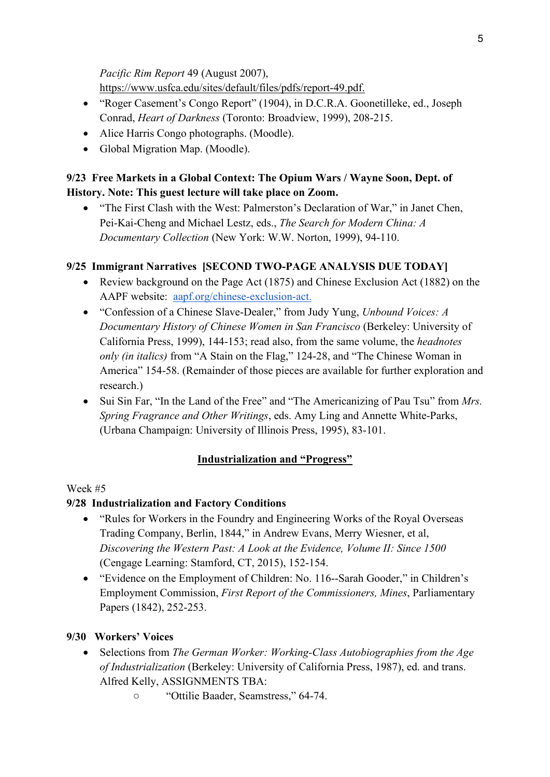*Pacific Rim Report* 49 (August 2007), [https://www.usfca.edu/sites/default/files/pdfs/report-49.pdf.](https://www.usfca.edu/sites/default/files/pdfs/report-49.pdf)

- "Roger Casement's Congo Report" (1904), in D.C.R.A. Goonetilleke, ed., Joseph Conrad, *Heart of Darkness* (Toronto: Broadview, 1999), 208-215.
- Alice Harris Congo photographs. (Moodle).
- Global Migration Map. (Moodle).

# **9/23 Free Markets in a Global Context: The Opium Wars / Wayne Soon, Dept. of History. Note: This guest lecture will take place on Zoom.**

• "The First Clash with the West: Palmerston's Declaration of War," in Janet Chen, Pei-Kai-Cheng and Michael Lestz, eds., *The Search for Modern China: A Documentary Collection* (New York: W.W. Norton, 1999), 94-110.

# **9/25 Immigrant Narratives [SECOND TWO-PAGE ANALYSIS DUE TODAY]**

- Review background on the Page Act (1875) and Chinese Exclusion Act (1882) on the AAPF website: [aapf.org/chinese-exclusion-act.](https://aapf.org/chinese-exclusion-act)
- "Confession of a Chinese Slave-Dealer," from Judy Yung, *Unbound Voices: A Documentary History of Chinese Women in San Francisco* (Berkeley: University of California Press, 1999), 144-153; read also, from the same volume, the *headnotes only (in italics)* from "A Stain on the Flag," 124-28, and "The Chinese Woman in America" 154-58. (Remainder of those pieces are available for further exploration and research.)
- Sui Sin Far, "In the Land of the Free" and "The Americanizing of Pau Tsu" from *Mrs. Spring Fragrance and Other Writings*, eds. Amy Ling and Annette White-Parks, (Urbana Champaign: University of Illinois Press, 1995), 83-101.

## **Industrialization and "Progress"**

## Week #5

## **9/28 Industrialization and Factory Conditions**

- "Rules for Workers in the Foundry and Engineering Works of the Royal Overseas Trading Company, Berlin, 1844," in Andrew Evans, Merry Wiesner, et al, *Discovering the Western Past: A Look at the Evidence, Volume II: Since 1500*  (Cengage Learning: Stamford, CT, 2015), 152-154.
- "Evidence on the Employment of Children: No. 116--Sarah Gooder," in Children's Employment Commission, *First Report of the Commissioners, Mines*, Parliamentary Papers (1842), 252-253.

## **9/30 Workers' Voices**

- Selections from *The German Worker: Working-Class Autobiographies from the Age of Industrialization* (Berkeley: University of California Press, 1987), ed. and trans. Alfred Kelly, ASSIGNMENTS TBA:
	- "Ottilie Baader, Seamstress," 64-74.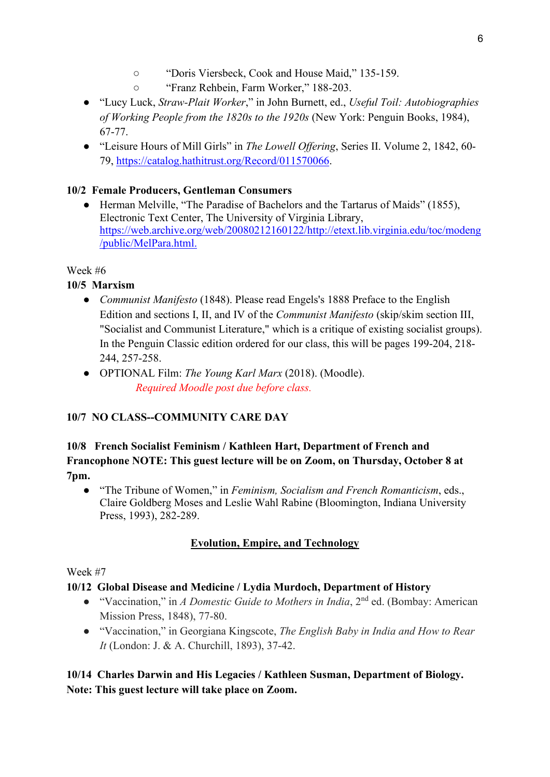- "Doris Viersbeck, Cook and House Maid," 135-159.
- "Franz Rehbein, Farm Worker," 188-203.
- "Lucy Luck, *Straw-Plait Worker*," in John Burnett, ed., *Useful Toil: Autobiographies of Working People from the 1820s to the 1920s* (New York: Penguin Books, 1984), 67-77.
- "Leisure Hours of Mill Girls" in *The Lowell Offering*, Series II. Volume 2, 1842, 60- 79, [https://catalog.hathitrust.org/Record/011570066.](https://catalog.hathitrust.org/Record/011570066)

## **10/2 Female Producers, Gentleman Consumers**

● Herman Melville, "The Paradise of Bachelors and the Tartarus of Maids" (1855), Electronic Text Center, The University of Virginia Library, [https://web.archive.org/web/20080212160122/http://etext.lib.virginia.edu/toc/modeng](https://web.archive.org/web/20080212160122/http:/etext.lib.virginia.edu/toc/modeng/public/MelPara.html) [/public/MelPara.html.](https://web.archive.org/web/20080212160122/http:/etext.lib.virginia.edu/toc/modeng/public/MelPara.html)

# Week #6

# **10/5 Marxism**

- *Communist Manifesto* (1848). Please read Engels's 1888 Preface to the English Edition and sections I, II, and IV of the *Communist Manifesto* (skip/skim section III, "Socialist and Communist Literature," which is a critique of existing socialist groups). In the Penguin Classic edition ordered for our class, this will be pages 199-204, 218- 244, 257-258.
- OPTIONAL Film: *The Young Karl Marx* (2018). (Moodle). *Required Moodle post due before class.*

# **10/7 NO CLASS--COMMUNITY CARE DAY**

## **10/8 French Socialist Feminism / Kathleen Hart, Department of French and Francophone NOTE: This guest lecture will be on Zoom, on Thursday, October 8 at 7pm.**

● "The Tribune of Women," in *Feminism, Socialism and French Romanticism*, eds., Claire Goldberg Moses and Leslie Wahl Rabine (Bloomington, Indiana University Press, 1993), 282-289.

# **Evolution, Empire, and Technology**

## Week #7

## **10/12 Global Disease and Medicine / Lydia Murdoch, Department of History**

- "Vaccination," in *A Domestic Guide to Mothers in India*, 2nd ed. (Bombay: American Mission Press, 1848), 77-80.
- "Vaccination," in Georgiana Kingscote, *The English Baby in India and How to Rear It* (London: J. & A. Churchill, 1893), 37-42.

# **10/14 Charles Darwin and His Legacies / Kathleen Susman, Department of Biology. Note: This guest lecture will take place on Zoom.**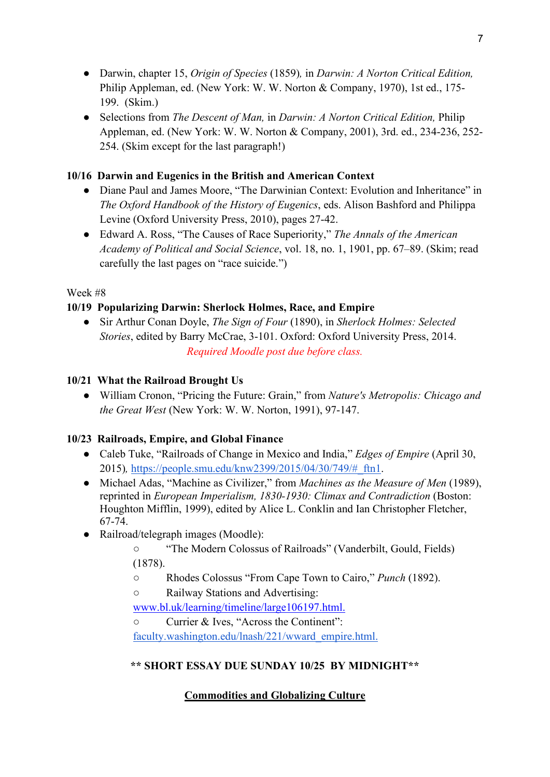- Darwin, chapter 15, *Origin of Species* (1859)*,* in *Darwin: A Norton Critical Edition,*  Philip Appleman, ed. (New York: W. W. Norton & Company, 1970), 1st ed., 175- 199. (Skim.)
- Selections from *The Descent of Man,* in *Darwin: A Norton Critical Edition,* Philip Appleman, ed. (New York: W. W. Norton & Company, 2001), 3rd. ed., 234-236, 252- 254. (Skim except for the last paragraph!)

## **10/16 Darwin and Eugenics in the British and American Context**

- Diane Paul and James Moore, "The Darwinian Context: Evolution and Inheritance" in *The Oxford Handbook of the History of Eugenics*, eds. Alison Bashford and Philippa Levine (Oxford University Press, 2010), pages 27-42.
- Edward A. Ross, "The Causes of Race Superiority," *The Annals of the American Academy of Political and Social Science*, vol. 18, no. 1, 1901, pp. 67–89. (Skim; read carefully the last pages on "race suicide.")

#### Week #8

## **10/19 Popularizing Darwin: Sherlock Holmes, Race, and Empire**

● Sir Arthur Conan Doyle, *The Sign of Four* (1890), in *Sherlock Holmes: Selected Stories*, edited by Barry McCrae, 3-101. Oxford: Oxford University Press, 2014. *Required Moodle post due before class.*

#### **10/21 What the Railroad Brought Us**

● William Cronon, "Pricing the Future: Grain," from *Nature's Metropolis: Chicago and the Great West* (New York: W. W. Norton, 1991), 97-147.

## **10/23 Railroads, Empire, and Global Finance**

- Caleb Tuke, "Railroads of Change in Mexico and India," *Edges of Empire* (April 30, 2015)*,* [https://people.smu.edu/knw2399/2015/04/30/749/#\\_ftn1.](https://people.smu.edu/knw2399/2015/04/30/749/#_ftn1)
- Michael Adas, "Machine as Civilizer," from *Machines as the Measure of Men* (1989), reprinted in *European Imperialism, 1830-1930: Climax and Contradiction* (Boston: Houghton Mifflin, 1999), edited by Alice L. Conklin and Ian Christopher Fletcher, 67-74.
- Railroad/telegraph images (Moodle):

○ "The Modern Colossus of Railroads" (Vanderbilt, Gould, Fields) (1878).

- Rhodes Colossus "From Cape Town to Cairo," *Punch* (1892).
- Railway Stations and Advertising:

[www.bl.uk/learning/timeline/large106197.html.](http://www.bl.uk/learning/timeline/large106197.html)

○ Currier & Ives, "Across the Continent":

[faculty.washington.edu/lnash/221/wward\\_empire.html.](http://faculty.washington.edu/lnash/221/wward_empire.html)

## **\*\* SHORT ESSAY DUE SUNDAY 10/25 BY MIDNIGHT\*\***

## **Commodities and Globalizing Culture**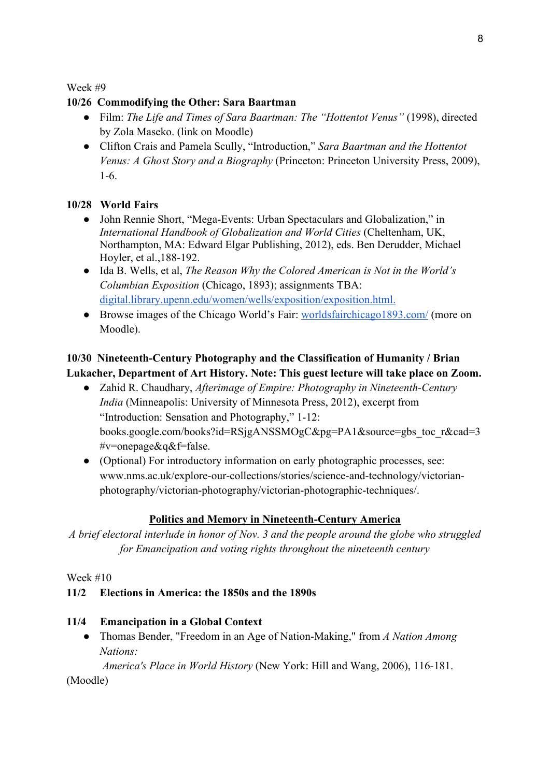Week #9

#### **10/26 Commodifying the Other: Sara Baartman**

- Film: *The Life and Times of Sara Baartman: The "Hottentot Venus"* (1998), directed by Zola Maseko. (link on Moodle)
- Clifton Crais and Pamela Scully, "Introduction," *Sara Baartman and the Hottentot Venus: A Ghost Story and a Biography* (Princeton: Princeton University Press, 2009), 1-6.

#### **10/28 World Fairs**

- John Rennie Short, "Mega-Events: Urban Spectaculars and Globalization," in *International Handbook of Globalization and World Cities* (Cheltenham, UK, Northampton, MA: Edward Elgar Publishing, 2012), eds. Ben Derudder, Michael Hoyler, et al.,188-192.
- Ida B. Wells, et al, *The Reason Why the Colored American is Not in the World's Columbian Exposition* (Chicago, 1893); assignments TBA: digital.library.upenn.edu/women/wells/exposition/exposition.html.
- Browse images of the Chicago World's Fair: worldsfairchicago1893.com/ (more on Moodle).

## **10/30 Nineteenth-Century Photography and the Classification of Humanity / Brian Lukacher, Department of Art History. Note: This guest lecture will take place on Zoom.**

- Zahid R. Chaudhary, *Afterimage of Empire: Photography in Nineteenth-Century India* (Minneapolis: University of Minnesota Press, 2012), excerpt from "Introduction: Sensation and Photography," 1-12: books.google.com/books?id=RSjgANSSMOgC&pg=PA1&source=gbs\_toc\_r&cad=3 #v=onepage&q&f=false.
- (Optional) For introductory information on early photographic processes, see: www.nms.ac.uk/explore-our-collections/stories/science-and-technology/victorianphotography/victorian-photography/victorian-photographic-techniques/.

#### **Politics and Memory in Nineteenth-Century America**

*A brief electoral interlude in honor of Nov. 3 and the people around the globe who struggled for Emancipation and voting rights throughout the nineteenth century*

Week #10

#### **11/2 Elections in America: the 1850s and the 1890s**

#### **11/4 Emancipation in a Global Context**

● Thomas Bender, "Freedom in an Age of Nation-Making," from *A Nation Among Nations:* 

 *America's Place in World History* (New York: Hill and Wang, 2006), 116-181.

(Moodle)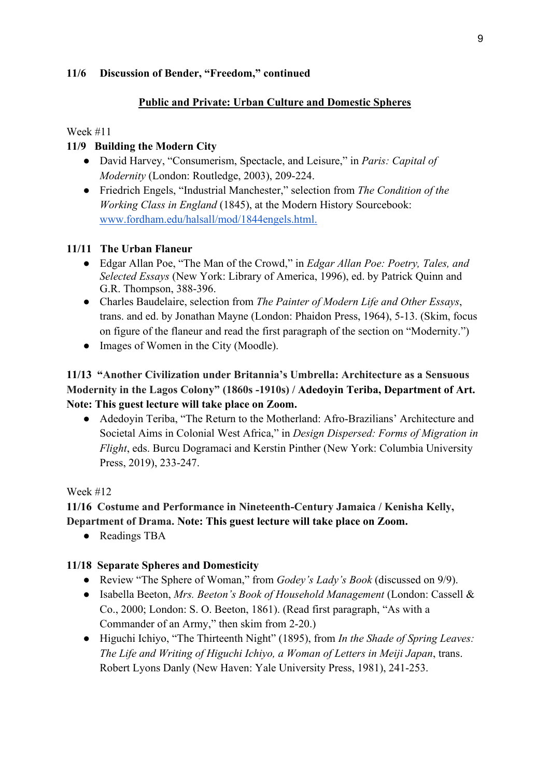#### **11/6 Discussion of Bender, "Freedom," continued**

#### **Public and Private: Urban Culture and Domestic Spheres**

#### Week #11

#### **11/9 Building the Modern City**

- David Harvey, "Consumerism, Spectacle, and Leisure," in *Paris: Capital of Modernity* (London: Routledge, 2003), 209-224.
- Friedrich Engels, "Industrial Manchester," selection from *The Condition of the Working Class in England* (1845), at the Modern History Sourcebook: www.fordham.edu/halsall/mod/1844engels.html.

#### **11/11 The Urban Flaneur**

- Edgar Allan Poe, "The Man of the Crowd," in *Edgar Allan Poe: Poetry, Tales, and Selected Essays* (New York: Library of America, 1996), ed. by Patrick Quinn and G.R. Thompson, 388-396.
- Charles Baudelaire, selection from *The Painter of Modern Life and Other Essays*, trans. and ed. by Jonathan Mayne (London: Phaidon Press, 1964), 5-13. (Skim, focus on figure of the flaneur and read the first paragraph of the section on "Modernity.")
- Images of Women in the City (Moodle).

## **11/13 "Another Civilization under Britannia's Umbrella: Architecture as a Sensuous Modernity in the Lagos Colony" (1860s -1910s) / Adedoyin Teriba, Department of Art. Note: This guest lecture will take place on Zoom.**

● Adedoyin Teriba, "The Return to the Motherland: Afro-Brazilians' Architecture and Societal Aims in Colonial West Africa," in *Design Dispersed: Forms of Migration in Flight*, eds. Burcu Dogramaci and Kerstin Pinther (New York: Columbia University Press, 2019), 233-247.

#### Week #12

#### **11/16 Costume and Performance in Nineteenth-Century Jamaica / Kenisha Kelly, Department of Drama. Note: This guest lecture will take place on Zoom.**

• Readings TBA

#### **11/18 Separate Spheres and Domesticity**

- Review "The Sphere of Woman," from *Godey's Lady's Book* (discussed on 9/9).
- Isabella Beeton, *Mrs. Beeton's Book of Household Management* (London: Cassell & Co., 2000; London: S. O. Beeton, 1861). (Read first paragraph, "As with a Commander of an Army," then skim from 2-20.)
- Higuchi Ichiyo, "The Thirteenth Night" (1895), from *In the Shade of Spring Leaves: The Life and Writing of Higuchi Ichiyo, a Woman of Letters in Meiji Japan*, trans. Robert Lyons Danly (New Haven: Yale University Press, 1981), 241-253.